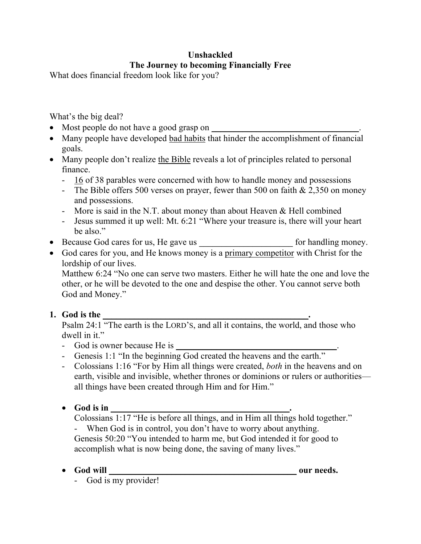# **Unshackled The Journey to becoming Financially Free**

What does financial freedom look like for you?

What's the big deal?

- Most people do not have a good grasp on
- Many people have developed bad habits that hinder the accomplishment of financial goals.
- Many people don't realize the Bible reveals a lot of principles related to personal finance.
	- 16 of 38 parables were concerned with how to handle money and possessions
	- The Bible offers 500 verses on prayer, fewer than 500 on faith & 2,350 on money and possessions.
	- More is said in the N.T. about money than about Heaven & Hell combined
	- Jesus summed it up well: Mt. 6:21 "Where your treasure is, there will your heart be also."
- Because God cares for us, He gave us \_\_\_\_\_\_\_\_\_\_\_\_\_\_\_\_\_\_\_\_\_\_\_\_\_\_ for handling money.
- God cares for you, and He knows money is a primary competitor with Christ for the lordship of our lives.

Matthew 6:24 "No one can serve two masters. Either he will hate the one and love the other, or he will be devoted to the one and despise the other. You cannot serve both God and Money."

## **1. God is the \_\_\_\_\_\_\_\_\_\_\_\_\_\_\_\_\_\_\_\_\_\_\_\_\_\_\_\_\_\_\_\_\_\_\_\_\_\_\_\_\_\_\_\_\_\_.**

Psalm 24:1 "The earth is the LORD'S, and all it contains, the world, and those who dwell in it."

- God is owner because He is
- Genesis 1:1 "In the beginning God created the heavens and the earth."
- Colossians 1:16 "For by Him all things were created, *both* in the heavens and on earth, visible and invisible, whether thrones or dominions or rulers or authorities all things have been created through Him and for Him."
- God is in

Colossians 1:17 "He is before all things, and in Him all things hold together."

- When God is in control, you don't have to worry about anything. Genesis 50:20 "You intended to harm me, but God intended it for good to accomplish what is now being done, the saving of many lives."

• **God will \_\_\_\_\_\_\_\_\_\_\_\_\_\_\_\_\_\_\_\_\_\_\_\_\_\_\_\_\_\_\_\_\_\_\_\_\_\_\_\_\_\_ our needs.**

- God is my provider!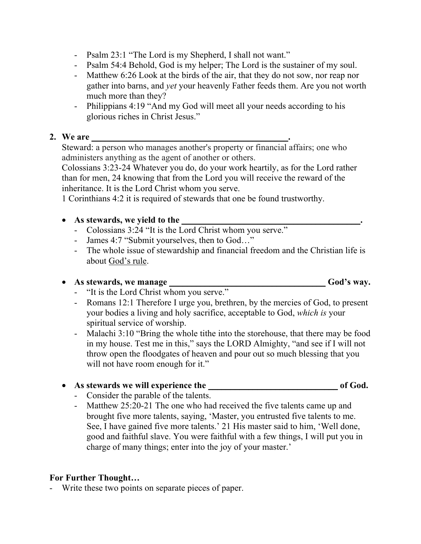- Psalm 23:1 "The Lord is my Shepherd, I shall not want."
- Psalm 54:4 Behold, God is my helper; The Lord is the sustainer of my soul.
- Matthew 6:26 Look at the birds of the air, that they do not sow, nor reap nor gather into barns, and *yet* your heavenly Father feeds them. Are you not worth much more than they?
- Philippians 4:19 "And my God will meet all your needs according to his glorious riches in Christ Jesus."

#### **2. We are \_\_\_\_\_\_\_\_\_\_\_\_\_\_\_\_\_\_\_\_\_\_\_\_\_\_\_\_\_\_\_\_\_\_\_\_\_\_\_\_\_\_\_\_.**

Steward: a person who manages another's property or financial affairs; one who administers anything as the agent of another or others.

Colossians 3:23-24 Whatever you do, do your work heartily, as for the Lord rather than for men, 24 knowing that from the Lord you will receive the reward of the inheritance. It is the Lord Christ whom you serve.

1 Corinthians 4:2 it is required of stewards that one be found trustworthy.

• As stewards, we vield to the

- Colossians 3:24 "It is the Lord Christ whom you serve."
- James 4:7 "Submit yourselves, then to God…"
- The whole issue of stewardship and financial freedom and the Christian life is about God's rule.

### • **As stewards, we manage \_\_\_\_\_\_\_\_\_\_\_\_\_\_\_\_\_\_\_\_\_\_\_\_\_\_\_\_\_\_\_\_\_\_\_ God's way.**

- "It is the Lord Christ whom you serve."
- Romans 12:1 Therefore I urge you, brethren, by the mercies of God, to present your bodies a living and holy sacrifice, acceptable to God, *which is* your spiritual service of worship.
- Malachi 3:10 "Bring the whole tithe into the storehouse, that there may be food in my house. Test me in this," says the LORD Almighty, "and see if I will not throw open the floodgates of heaven and pour out so much blessing that you will not have room enough for it."

#### • As stewards we will experience the of God.

- Consider the parable of the talents.
- Matthew 25:20-21 The one who had received the five talents came up and brought five more talents, saying, 'Master, you entrusted five talents to me. See, I have gained five more talents.' 21 His master said to him, 'Well done, good and faithful slave. You were faithful with a few things, I will put you in charge of many things; enter into the joy of your master.'

### **For Further Thought…**

- Write these two points on separate pieces of paper.